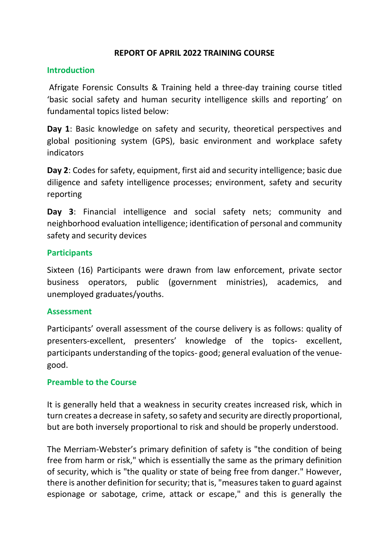### **REPORT OF APRIL 2022 TRAINING COURSE**

### **Introduction**

Afrigate Forensic Consults & Training held a three-day training course titled 'basic social safety and human security intelligence skills and reporting' on fundamental topics listed below:

**Day 1**: Basic knowledge on safety and security, theoretical perspectives and global positioning system (GPS), basic environment and workplace safety indicators

**Day 2**: Codes for safety, equipment, first aid and security intelligence; basic due diligence and safety intelligence processes; environment, safety and security reporting

**Day 3**: Financial intelligence and social safety nets; community and neighborhood evaluation intelligence; identification of personal and community safety and security devices

### **Participants**

Sixteen (16) Participants were drawn from law enforcement, private sector business operators, public (government ministries), academics, and unemployed graduates/youths.

#### **Assessment**

Participants' overall assessment of the course delivery is as follows: quality of presenters-excellent, presenters' knowledge of the topics- excellent, participants understanding of the topics- good; general evaluation of the venuegood.

#### **Preamble to the Course**

It is generally held that a weakness in security creates increased risk, which in turn creates a decrease in safety, so safety and security are directly proportional, but are both inversely proportional to risk and should be properly understood.

The Merriam-Webster's primary definition of safety is "the condition of being free from harm or risk," which is essentially the same as the primary definition of security, which is "the quality or state of being free from danger." However, there is another definition for security; that is, "measures taken to guard against espionage or sabotage, crime, attack or escape," and this is generally the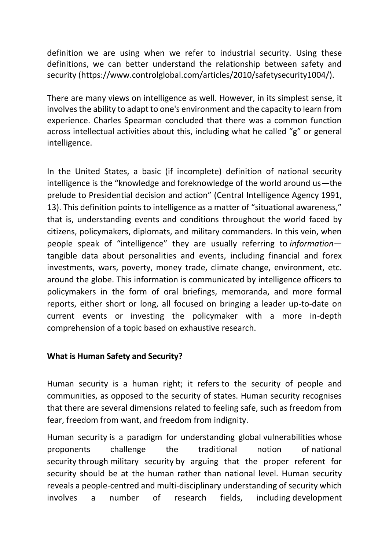definition we are using when we refer to industrial security. Using these definitions, we can better understand the relationship between safety and security [\(https://www.controlglobal.com/articles/2010/safetysecurity1004/\)](https://www.controlglobal.com/articles/2010/safetysecurity1004/).

There are many views on intelligence as well. However, in its simplest sense, it involves the ability to adapt to one's environment and the capacity to learn from experience. Charles Spearman concluded that there was a common function across intellectual activities about this, including what he called "g" or general intelligence.

In the United States, a basic (if incomplete) definition of national security intelligence is the "knowledge and foreknowledge of the world around us—the prelude to Presidential decision and action" (Central Intelligence Agency [1991,](https://www.oxfordhandbooks.com/view/10.1093/oxfordhb/9780195375886.001.0001/oxfordhb-9780195375886-e-0001#oxfordhb-9780195375886-bibItem-13) 13). This definition points to intelligence as a matter of "situational awareness," that is, understanding events and conditions throughout the world faced by citizens, policymakers, diplomats, and military commanders. In this vein, when people speak of "intelligence" they are usually referring to *information* tangible data about personalities and events, including financial and forex investments, wars, poverty, money trade, climate change, environment, etc. around the globe. This information is communicated by intelligence officers to policymakers in the form of oral briefings, memoranda, and more formal reports, either short or long, all focused on bringing a leader up-to-date on current events or investing the policymaker with a more in-depth comprehension of a topic based on exhaustive research.

### **What is Human Safety and Security?**

Human security is a human right; it refers to the security of people and communities, as opposed to the security of states. Human security recognises that there are several dimensions related to feeling safe, such as freedom from fear, freedom from want, and freedom from indignity.

Human security is a paradigm for understanding global [vulnerabilities](https://en.wikipedia.org/wiki/Social_vulnerability) whose proponents challenge the traditional notion of [national](https://en.wikipedia.org/wiki/National_security)  [security](https://en.wikipedia.org/wiki/National_security) through [military security](https://en.wikipedia.org/wiki/Military_security) by arguing that the proper referent for security should be at the human rather than national level. Human security reveals a people-centred and multi-disciplinary understanding of security which involves a number of research fields, including [development](https://en.wikipedia.org/wiki/Development_studies)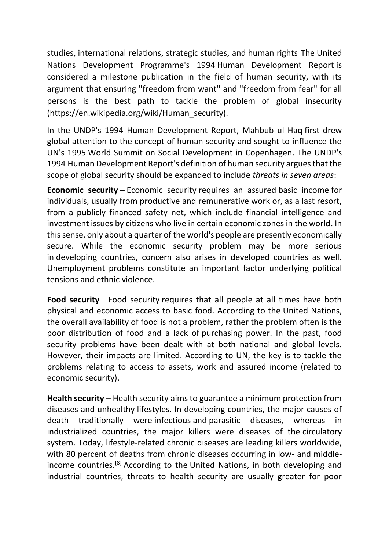[studies,](https://en.wikipedia.org/wiki/Development_studies) [international relations,](https://en.wikipedia.org/wiki/International_relations) strategic studies, and [human rights](https://en.wikipedia.org/wiki/Human_rights). The [United](https://en.wikipedia.org/wiki/United_Nations_Development_Programme)  [Nations Development Programme'](https://en.wikipedia.org/wiki/United_Nations_Development_Programme)s 1994 [Human Development Report](https://en.wikipedia.org/wiki/Human_Development_Report) is considered a milestone publication in the field of human security, with its argument that ensuring ["freedom from want"](https://en.wikipedia.org/wiki/Freedom_from_want) and ["freedom from fear"](https://en.wikipedia.org/wiki/Freedom_from_fear) for all persons is the best path to tackle the problem of global insecurity (https://en.wikipedia.org/wiki/Human\_security).

In the UNDP's 1994 Human Development Report, [Mahbub ul Haq](https://en.wikipedia.org/wiki/Mahbub_ul_Haq) first drew global attention to the concept of human security and sought to influence the UN's 1995 [World Summit on Social Development in Copenhagen.](https://en.wikipedia.org/wiki/Commission_for_Social_Development) The UNDP's 1994 [Human Development Report'](https://en.wikipedia.org/wiki/Human_Development_Report)s definition of human security argues that the scope of global security should be expanded to include *threats in seven areas*:

**Economic security** – [Economic security](https://en.wikipedia.org/wiki/Economic_security) requires an assured [basic income](https://en.wikipedia.org/wiki/Basic_income) for individuals, usually from productive and remunerative work or, as a last resort, from a publicly financed safety net, which include financial intelligence and investment issues by citizens who live in certain economic zones in the world. In this sense, only about a quarter of the world's people are presently economically secure. While the economic security problem may be more serious in [developing countries,](https://en.wikipedia.org/wiki/Developing_countries) concern also arises in developed countries as well. Unemployment problems constitute an important factor underlying political tensions and [ethnic](https://en.wikipedia.org/wiki/Ethnicity) violence.

**Food security** – [Food security](https://en.wikipedia.org/wiki/Food_security) requires that all people at all times have both physical and economic access to basic food. According to the [United Nations,](https://en.wikipedia.org/wiki/United_Nations) the overall availability of food is not a problem, rather the problem often is the poor distribution of food and a lack of [purchasing power.](https://en.wikipedia.org/wiki/Purchasing_power) In the past, food security problems have been dealt with at both national and global levels. However, their impacts are limited. According to UN, the key is to tackle the problems relating to access to assets, work and assured income (related to economic security).

**Health security** – [Health security](https://en.wikipedia.org/wiki/Health_security) aims to guarantee a minimum protection from diseases and unhealthy [lifestyles.](https://en.wikipedia.org/wiki/Lifestyle_(sociology)) In developing countries, the major causes of death traditionally were [infectious](https://en.wikipedia.org/wiki/Infectious_disease) and [parasitic diseases,](https://en.wikipedia.org/wiki/Parasitic_disease) whereas in industrialized countries, the major killers were diseases of the [circulatory](https://en.wikipedia.org/wiki/Circulatory_system)  [system.](https://en.wikipedia.org/wiki/Circulatory_system) Today, lifestyle-related chronic diseases are leading killers worldwide, with 80 percent of deaths from chronic diseases occurring in low- and middleincome countries.[\[8\]](https://en.wikipedia.org/wiki/Human_security#cite_note-8) According to the [United Nations,](https://en.wikipedia.org/wiki/United_Nations) in both developing and industrial countries, threats to health security are usually greater for poor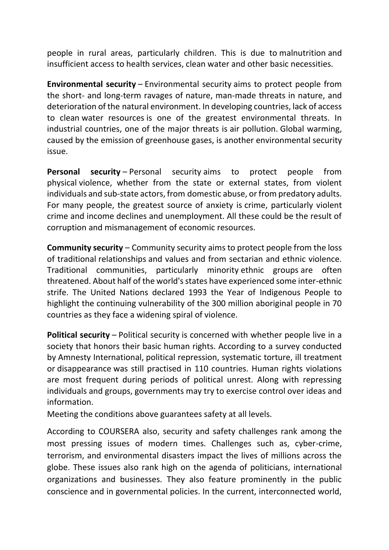people in rural areas, particularly children. This is due to [malnutrition](https://en.wikipedia.org/wiki/Malnutrition) and insufficient access to health services, clean water and other basic necessities.

**Environmental security** – [Environmental security](https://en.wikipedia.org/wiki/Environmental_security) aims to protect people from the short- and long-term ravages of nature, man-made threats in nature, and deterioration of the [natural environment.](https://en.wikipedia.org/wiki/Natural_environment) In developing countries, lack of access to clean [water resources](https://en.wikipedia.org/wiki/Water_resources) is one of the greatest environmental threats. In industrial countries, one of the major threats is [air pollution.](https://en.wikipedia.org/wiki/Air_pollution) [Global warming,](https://en.wikipedia.org/wiki/Global_warming) caused by the emission of [greenhouse gases,](https://en.wikipedia.org/wiki/Greenhouse_gases) is another [environmental security](https://en.wikipedia.org/wiki/Environmental_peacebuilding)  [issue.](https://en.wikipedia.org/wiki/Environmental_peacebuilding)

**Personal security** – [Personal security](https://en.wikipedia.org/wiki/Security_of_person) aims to protect people from physical [violence,](https://en.wikipedia.org/wiki/Violence) whether from the state or external states, from violent individuals and sub-state actors, from [domestic abuse,](https://en.wikipedia.org/wiki/Domestic_abuse) or from predatory adults. For many people, the greatest source of anxiety is [crime,](https://en.wikipedia.org/wiki/Crime) particularly violent crime and income declines and unemployment. All these could be the result of corruption and mismanagement of economic resources.

**Community security** – [Community security](https://en.wikipedia.org/wiki/Societal_security) aims to protect people from the loss of traditional [relationships](https://en.wikipedia.org/wiki/Interpersonal_relationship) and values and from sectarian and ethnic violence. Traditional communities, particularly minority [ethnic groups](https://en.wikipedia.org/wiki/Ethnic_group) are often threatened. About half of the world's states have experienced some inter-ethnic strife. The United Nations declared 1993 the Year of Indigenous People to highlight the continuing vulnerability of the 300 million aboriginal people in 70 countries as they face a widening spiral of violence.

**Political security** – [Political security](https://en.wikipedia.org/wiki/Political_security) is concerned with whether people live in a society that honors their basic human rights. According to a survey conducted by Amnesty [International,](https://en.wikipedia.org/wiki/Amnesty_International) [political repression,](https://en.wikipedia.org/wiki/Political_repression) systematic torture, ill treatment or [disappearance](https://en.wikipedia.org/wiki/Forced_disappearance) was still practised in 110 countries. Human rights violations are most frequent during periods of political unrest. Along with repressing individuals and groups, governments may try to exercise control over ideas and information.

Meeting the conditions above guarantees safety at all levels.

According to COURSERA also, security and safety challenges rank among the most pressing issues of modern times. Challenges such as, cyber-crime, terrorism, and environmental disasters impact the lives of millions across the globe. These issues also rank high on the agenda of politicians, international organizations and businesses. They also feature prominently in the public conscience and in governmental policies. In the current, interconnected world,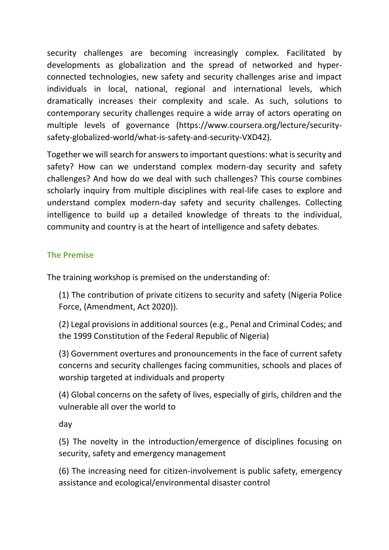security challenges are becoming increasingly complex. Facilitated by developments as globalization and the spread of networked and hyperconnected technologies, new safety and security challenges arise and impact individuals in local, national, regional and international levels, which dramatically increases their complexity and scale. As such, solutions to contemporary security challenges require a wide array of actors operating on multiple levels of governance [\(https://www.coursera.org/lecture/security](https://www.coursera.org/lecture/security-safety-globalized-world/what-is-safety-and-security-VXD42)[safety-globalized-world/what-is-safety-and-security-VXD42\)](https://www.coursera.org/lecture/security-safety-globalized-world/what-is-safety-and-security-VXD42).

Together we will search for answers to important questions: what is security and safety? How can we understand complex modern-day security and safety challenges? And how do we deal with such challenges? This course combines scholarly inquiry from multiple disciplines with real-life cases to explore and understand complex modern-day safety and security challenges. Collecting intelligence to build up a detailed knowledge of threats to the individual, community and country is at the heart of intelligence and safety debates.

# **The Premise**

The training workshop is premised on the understanding of:

(1) The contribution of private citizens to security and safety (Nigeria Police Force, (Amendment, Act 2020)).

(2) Legal provisions in additional sources (e.g., Penal and Criminal Codes; and the 1999 Constitution of the Federal Republic of Nigeria)

(3) Government overtures and pronouncements in the face of current safety concerns and security challenges facing communities, schools and places of worship targeted at individuals and property

(4) Global concerns on the safety of lives, especially of girls, children and the vulnerable all over the world to

day

(5) The novelty in the introduction/emergence of disciplines focusing on security, safety and emergency management

(6) The increasing need for citizen-involvement is public safety, emergency assistance and ecological/environmental disaster control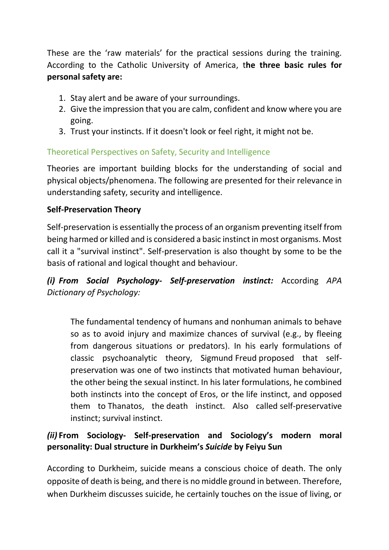These are the 'raw materials' for the practical sessions during the training. According to the Catholic University of America, t**he three basic rules for personal safety are:**

- 1. Stay alert and be aware of your surroundings.
- 2. Give the impression that you are calm, confident and know where you are going.
- 3. Trust your instincts. If it doesn't look or feel right, it might not be.

# Theoretical Perspectives on Safety, Security and Intelligence

Theories are important building blocks for the understanding of social and physical objects/phenomena. The following are presented for their relevance in understanding safety, security and intelligence.

## **Self-Preservation Theory**

Self-preservation is essentially the process of an organism preventing itself from being harmed or killed and is considered a basic instinct in most organisms. Most call it a "survival instinct". Self-preservation is also thought by some to be the basis of rational and logical thought and behaviour[.](https://dictionary.apa.org/self-preservation-instinct)

# *(i) [From Social Psychology-](https://dictionary.apa.org/self-preservation-instinct) Self-preservation instinct:* According *APA [Dictionary of Psychology:](https://dictionary.apa.org/self-preservation-instinct)*

The fundamental tendency of humans and nonhuman animals to behave so as to avoid injury and maximize chances of survival (e.g., by fleeing from dangerous situations or predators). In his early formulations of classic psychoanalytic theory, Sigmund Freud proposed that selfpreservation was one of two instincts that motivated human behaviour, the other being the [sexual instinct.](https://dictionary.apa.org/sexual-instinct) In his later formulations, he combined both instincts into the concept of [Eros,](https://dictionary.apa.org/eros) or the [life instinct,](https://dictionary.apa.org/life-instinct) and opposed them to [Thanatos,](https://dictionary.apa.org/thanatos) the [death instinct.](https://dictionary.apa.org/death-instinct) Also called self-preservative instinct; survival instinct.

# *(ii)* **From Sociology- Self-preservation and Sociology's modern moral personality: Dual structure in Durkheim's** *Suicide* **by [Feiyu Sun](https://journals.sagepub.com/doi/full/10.1177/2057150X20932718)**

According to Durkheim, suicide means a conscious choice of death. The only opposite of death is being, and there is no middle ground in between. Therefore, when Durkheim discusses suicide, he certainly touches on the issue of living, or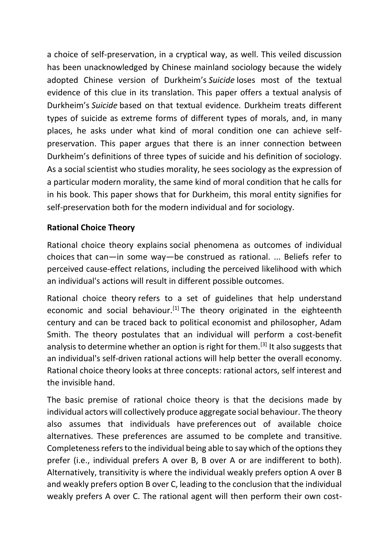a choice of self-preservation, in a cryptical way, as well. This veiled discussion has been unacknowledged by Chinese mainland sociology because the widely adopted Chinese version of Durkheim's *Suicide* loses most of the textual evidence of this clue in its translation. This paper offers a textual analysis of Durkheim's *Suicide* based on that textual evidence. Durkheim treats different types of suicide as extreme forms of different types of morals, and, in many places, he asks under what kind of moral condition one can achieve selfpreservation. This paper argues that there is an inner connection between Durkheim's definitions of three types of suicide and his definition of sociology. As a social scientist who studies morality, he sees sociology as the expression of a particular modern morality, the same kind of moral condition that he calls for in his book. This paper shows that for Durkheim, this moral entity signifies for self-preservation both for the modern individual and for sociology.

# **Rational Choice Theory**

Rational choice theory explains social phenomena as outcomes of individual choices that can—in some way—be construed as rational. ... Beliefs refer to perceived cause-effect relations, including the perceived likelihood with which an individual's actions will result in different possible outcomes.

Rational choice theory refers to a set of guidelines that help understand economic and social behaviour.<sup>[\[1\]](https://en.wikipedia.org/wiki/Rational_choice_theory#cite_note-1)</sup> The theory originated in the eighteenth century and can be traced back to political economist and philosopher, Adam Smith. The theory postulates that an individual will perform a cost-benefit analysis to determine whether an option is right for them.<sup>[\[3\]](https://en.wikipedia.org/wiki/Rational_choice_theory#cite_note-:1-3)</sup> It also suggests that an individual's self-driven rational actions will help better the overall economy. Rational choice theory looks at three concepts: rational actors, self interest and the invisible hand.

The basic premise of rational choice theory is that the decisions made by individual actors will collectively produce aggregate social behaviour. The theory also assumes that individuals have [preferences](https://en.wikipedia.org/wiki/Preference_(economics)) out of available choice alternatives. These preferences are assumed to be complete and transitive. Completeness refers to the individual being able to say which of the options they prefer (i.e., individual prefers A over B, B over A or are indifferent to both). Alternatively, transitivity is where the individual weakly prefers option A over B and weakly prefers option B over C, leading to the conclusion that the individual weakly prefers A over C. The rational agent will then perform their own cost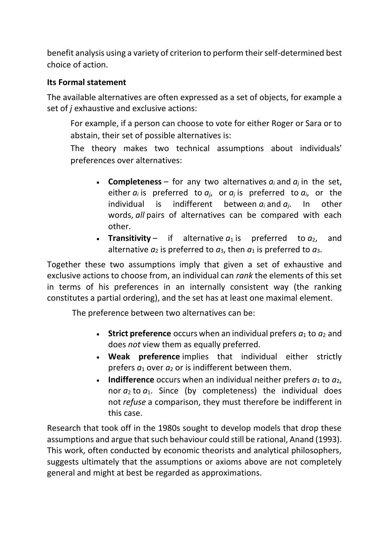benefit analysis using a variety of criterion to perform their self-determined best choice of action.

## **Its Formal statement**

The available alternatives are often expressed as a set of objects, for example a set of *j* [exhaustive](https://en.wikipedia.org/wiki/Collectively_exhaustive_events) and [exclusive](https://en.wikipedia.org/wiki/Mutually_exclusive_events) actions:

For example, if a person can choose to vote for either Roger or Sara or to abstain, their set of possible alternatives is:

The theory makes two technical assumptions about individuals' preferences over alternatives:

- **[Completeness](https://en.wikipedia.org/wiki/Completeness_(order_theory))** for any two alternatives  $a_i$  and  $a_j$  in the set, either  $a_i$  is preferred to  $a_i$ , or  $a_j$  is preferred to  $a_i$ , or the individual is indifferent between  $a_i$  and  $a_i$ . In other words, *all* pairs of alternatives can be compared with each other.
- **[Transitivity](https://en.wikipedia.org/wiki/Transitive_relation)** if alternative  $a_1$  is preferred to  $a_2$ , and alternative  $a_2$  is preferred to  $a_3$ , then  $a_1$  is preferred to  $a_3$ .

Together these two assumptions imply that given a set of exhaustive and exclusive actions to choose from, an individual can *rank* the elements of this set in terms of his preferences in an internally consistent way (the ranking constitutes a [partial ordering\)](https://en.wikipedia.org/wiki/Partial_order), and the set has at least one [maximal element.](https://en.wikipedia.org/wiki/Maximal_element)

The preference between two alternatives can be:

- **Strict preference** occurs when an individual prefers  $a_1$  to  $a_2$  and does *not* view them as equally preferred.
- **Weak preference** implies that individual either strictly prefers  $a_1$  over  $a_2$  or is indifferent between them.
- **Indifference** occurs when an individual neither prefers  $a_1$  to  $a_2$ , nor  $a_2$  to  $a_1$ . Since (by completeness) the individual does not *refuse* a comparison, they must therefore be indifferent in this case.

Research that took off in the 1980s sought to develop models that drop these assumptions and argue that such behaviour could still be rational, Anand (1993). This work, often conducted by economic theorists and analytical philosophers, suggests ultimately that the assumptions or axioms above are not completely general and might at best be regarded as approximations.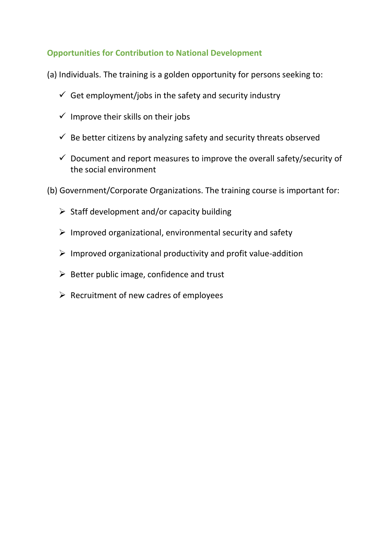## **Opportunities for Contribution to National Development**

- (a) Individuals. The training is a golden opportunity for persons seeking to:
	- $\checkmark$  Get employment/jobs in the safety and security industry
	- $\checkmark$  Improve their skills on their jobs
	- $\checkmark$  Be better citizens by analyzing safety and security threats observed
	- $\checkmark$  Document and report measures to improve the overall safety/security of the social environment
- (b) Government/Corporate Organizations. The training course is important for:
	- $\triangleright$  Staff development and/or capacity building
	- $\triangleright$  Improved organizational, environmental security and safety
	- $\triangleright$  Improved organizational productivity and profit value-addition
	- $\triangleright$  Better public image, confidence and trust
	- $\triangleright$  Recruitment of new cadres of employees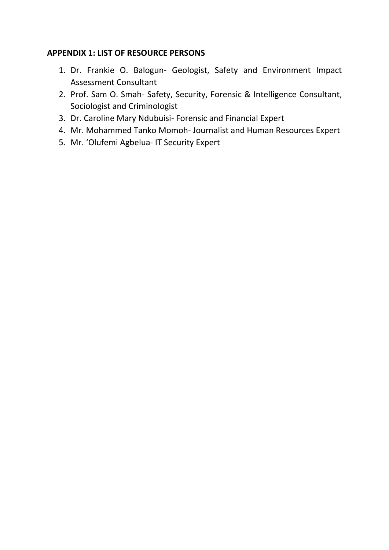### **APPENDIX 1: LIST OF RESOURCE PERSONS**

- 1. Dr. Frankie O. Balogun- Geologist, Safety and Environment Impact Assessment Consultant
- 2. Prof. Sam O. Smah- Safety, Security, Forensic & Intelligence Consultant, Sociologist and Criminologist
- 3. Dr. Caroline Mary Ndubuisi- Forensic and Financial Expert
- 4. Mr. Mohammed Tanko Momoh- Journalist and Human Resources Expert
- 5. Mr. 'Olufemi Agbelua- IT Security Expert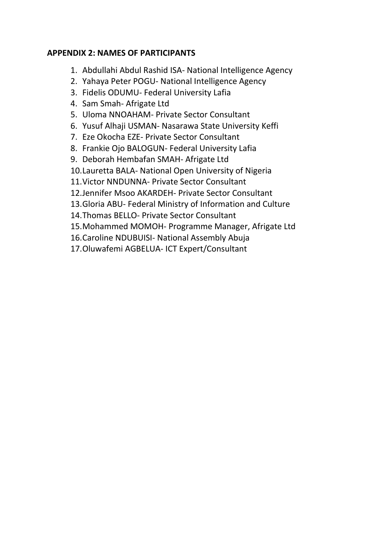## **APPENDIX 2: NAMES OF PARTICIPANTS**

- 1. Abdullahi Abdul Rashid ISA- National Intelligence Agency
- 2. Yahaya Peter POGU- National Intelligence Agency
- 3. Fidelis ODUMU- Federal University Lafia
- 4. Sam Smah- Afrigate Ltd
- 5. Uloma NNOAHAM- Private Sector Consultant
- 6. Yusuf Alhaji USMAN- Nasarawa State University Keffi
- 7. Eze Okocha EZE- Private Sector Consultant
- 8. Frankie Ojo BALOGUN- Federal University Lafia
- 9. Deborah Hembafan SMAH- Afrigate Ltd
- 10.Lauretta BALA- National Open University of Nigeria
- 11.Victor NNDUNNA- Private Sector Consultant
- 12.Jennifer Msoo AKARDEH- Private Sector Consultant
- 13.Gloria ABU- Federal Ministry of Information and Culture
- 14.Thomas BELLO- Private Sector Consultant
- 15.Mohammed MOMOH- Programme Manager, Afrigate Ltd
- 16.Caroline NDUBUISI- National Assembly Abuja
- 17.Oluwafemi AGBELUA- ICT Expert/Consultant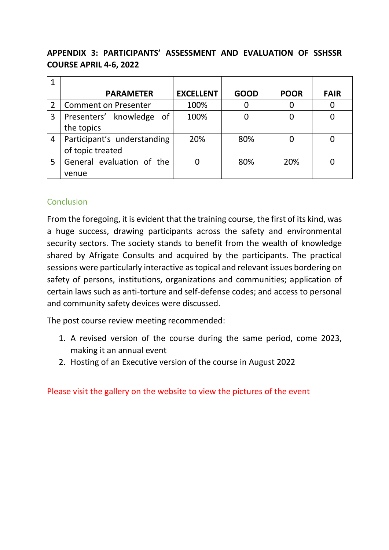# **APPENDIX 3: PARTICIPANTS' ASSESSMENT AND EVALUATION OF SSHSSR COURSE APRIL 4-6, 2022**

|                | <b>PARAMETER</b>            | <b>EXCELLENT</b> | <b>GOOD</b> | <b>POOR</b> | <b>FAIR</b> |
|----------------|-----------------------------|------------------|-------------|-------------|-------------|
|                | <b>Comment on Presenter</b> | 100%             |             |             |             |
| 3              | Presenters' knowledge of    | 100%             |             |             |             |
|                | the topics                  |                  |             |             |             |
| $\overline{4}$ | Participant's understanding | 20%              | 80%         |             |             |
|                | of topic treated            |                  |             |             |             |
| 5              | General evaluation of the   |                  | 80%         | 20%         |             |
|                | venue                       |                  |             |             |             |

## Conclusion

From the foregoing, it is evident that the training course, the first of its kind, was a huge success, drawing participants across the safety and environmental security sectors. The society stands to benefit from the wealth of knowledge shared by Afrigate Consults and acquired by the participants. The practical sessions were particularly interactive as topical and relevant issues bordering on safety of persons, institutions, organizations and communities; application of certain laws such as anti-torture and self-defense codes; and access to personal and community safety devices were discussed.

The post course review meeting recommended:

- 1. A revised version of the course during the same period, come 2023, making it an annual event
- 2. Hosting of an Executive version of the course in August 2022

Please visit the gallery on the website to view the pictures of the event